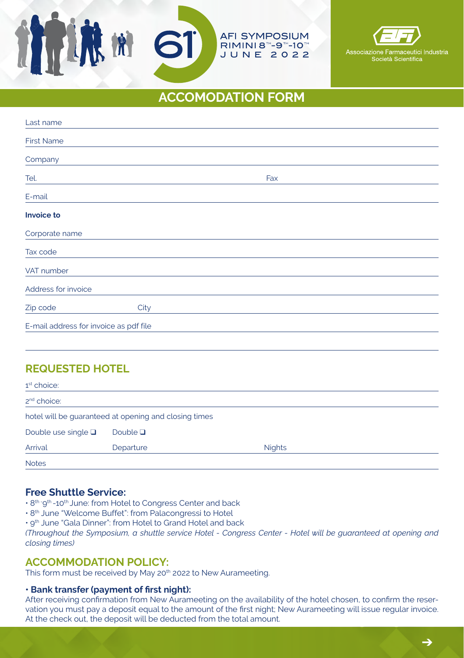# **ACCOMODATION FORM**

**AFI SYMPOSIUM** RIMINI 8<sup>™</sup>-9<sup>™</sup>-10™ JUNE 2022

Associazione Ea

zione Farmaceutici <mark>I</mark>ndustria<br>Società Scientifica

| Last name                              |      |  |     |  |
|----------------------------------------|------|--|-----|--|
| <b>First Name</b>                      |      |  |     |  |
| Company                                |      |  |     |  |
| Tel.                                   |      |  | Fax |  |
| E-mail                                 |      |  |     |  |
| Invoice to                             |      |  |     |  |
| Corporate name                         |      |  |     |  |
| Tax code                               |      |  |     |  |
| VAT number                             |      |  |     |  |
| Address for invoice                    |      |  |     |  |
| Zip code                               | City |  |     |  |
| E-mail address for invoice as pdf file |      |  |     |  |
|                                        |      |  |     |  |

# **REQUESTED HOTEL**

| 1 <sup>st</sup> choice:                               |               |               |  |  |
|-------------------------------------------------------|---------------|---------------|--|--|
| 2 <sup>nd</sup> choice:                               |               |               |  |  |
| hotel will be guaranteed at opening and closing times |               |               |  |  |
| Double use single $\square$                           | Double $\Box$ |               |  |  |
| Arrival                                               | Departure     | <b>Nights</b> |  |  |
| <b>Notes</b>                                          |               |               |  |  |

## **Free Shuttle Service:**

• 8<sup>th -</sup>9<sup>th</sup> -10<sup>th</sup> June: from Hotel to Congress Center and back

100 MM

- 8<sup>th</sup> June "Welcome Buffet": from Palacongressi to Hotel
- 9th June "Gala Dinner": from Hotel to Grand Hotel and back

*(Throughout the Symposium, a shuttle service Hotel - Congress Center - Hotel will be guaranteed at opening and closing times)*

## **ACCOMMODATION POLICY:**

This form must be received by May 20<sup>th</sup> 2022 to New Aurameeting.

#### **• Bank transfer (payment of first night):**

After receiving confirmation from New Aurameeting on the availability of the hotel chosen, to confirm the reservation you must pay a deposit equal to the amount of the first night; New Aurameeting will issue regular invoice. At the check out, the deposit will be deducted from the total amount.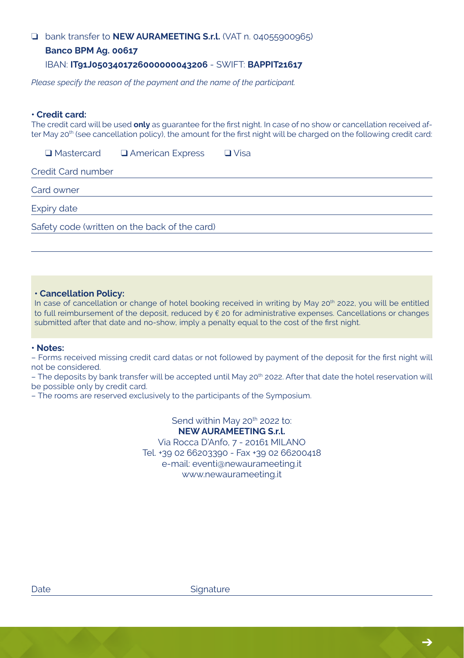## ❏ bank transfer to **NEW AURAMEETING S.r.l.** (VAT n. 04055900965)

#### **Banco BPM Ag. 00617**

#### IBAN: **IT91J0503401726000000043206** - SWIFT: **BAPPIT21617**

*Please specify the reason of the payment and the name of the participant.*

#### **• Credit card:**

The credit card will be used **only** as guarantee for the first night. In case of no show or cancellation received after May 20<sup>th</sup> (see cancellation policy), the amount for the first night will be charged on the following credit card:

**Q Mastercard Q American Express Q Visa** 

Credit Card number

Card owner

Expiry date

Safety code (written on the back of the card)

#### **• Cancellation Policy:**

In case of cancellation or change of hotel booking received in writing by May 20<sup>th</sup> 2022, you will be entitled to full reimbursement of the deposit, reduced by € 20 for administrative expenses. Cancellations or changes submitted after that date and no-show, imply a penalty equal to the cost of the first night.

#### **• Notes:**

– Forms received missing credit card datas or not followed by payment of the deposit for the first night will not be considered.

– The deposits by bank transfer will be accepted until May 20<sup>th</sup> 2022. After that date the hotel reservation will be possible only by credit card.

– The rooms are reserved exclusively to the participants of the Symposium.

Send within May 20<sup>th</sup> 2022 to: **NEW AURAMEETING S.r.l.** Via Rocca D'Anfo, 7 - 20161 MILANO Tel. +39 02 66203390 - Fax +39 02 66200418 e-mail: eventi@newaurameeting.it www.newaurameeting.it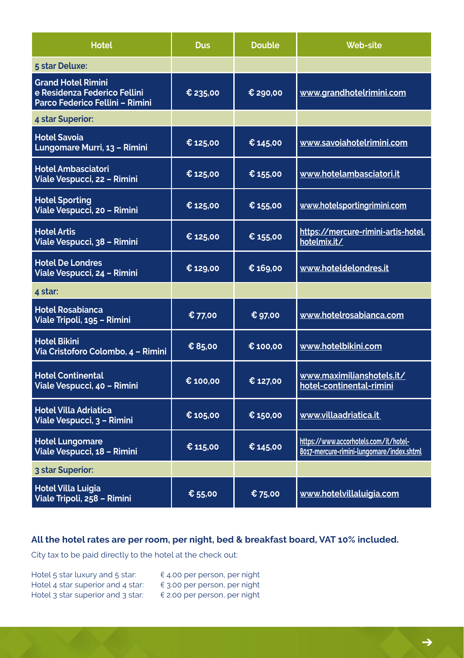| <b>Hotel</b>                                                                                 | <b>Dus</b> | <b>Double</b> | <b>Web-site</b>                                                                    |
|----------------------------------------------------------------------------------------------|------------|---------------|------------------------------------------------------------------------------------|
| 5 star Deluxe:                                                                               |            |               |                                                                                    |
| <b>Grand Hotel Rimini</b><br>e Residenza Federico Fellini<br>Parco Federico Fellini - Rimini | € 235,00   | € 290,00      | www.grandhotelrimini.com                                                           |
| 4 star Superior:                                                                             |            |               |                                                                                    |
| <b>Hotel Savoia</b><br>Lungomare Murri, 13 - Rimini                                          | € 125,00   | € 145,00      | www.savoiahotelrimini.com                                                          |
| <b>Hotel Ambasciatori</b><br>Viale Vespucci, 22 - Rimini                                     | € 125,00   | € 155,00      | www.hotelambasciatori.it                                                           |
| <b>Hotel Sporting</b><br>Viale Vespucci, 20 - Rimini                                         | € 125,00   | € 155,00      | www.hotelsportingrimini.com                                                        |
| <b>Hotel Artis</b><br>Viale Vespucci, 38 - Rimini                                            | € 125,00   | € 155,00      | https://mercure-rimini-artis-hotel.<br>hotelmix.it/                                |
| <b>Hotel De Londres</b><br>Viale Vespucci, 24 - Rimini                                       | € 129,00   | € 169,00      | www.hoteldelondres.it                                                              |
| 4 star:                                                                                      |            |               |                                                                                    |
| <b>Hotel Rosabianca</b><br>Viale Tripoli, 195 - Rimini                                       | € 77,00    | € 97,00       | www.hotelrosabianca.com                                                            |
| <b>Hotel Bikini</b><br>Via Cristoforo Colombo, 4 - Rimini                                    | € 85.00    | € 100.00      | www.hotelbikini.com                                                                |
| <b>Hotel Continental</b><br>Viale Vespucci, 40 - Rimini                                      | € 100,00   | € 127,00      | www.maximilianshotels.it/<br>hotel-continental-rimini                              |
| <b>Hotel Villa Adriatica</b><br>Viale Vespucci, 3 - Rimini                                   | € 105,00   | € 150,00      | www.villaadriatica.it                                                              |
| <b>Hotel Lungomare</b><br>Viale Vespucci, 18 - Rimini                                        | € 115,00   | € 145.00      | https://www.accorhotels.com/it/hotel-<br>8017-mercure-rimini-lungomare/index.shtml |
| 3 star Superior:                                                                             |            |               |                                                                                    |
| <b>Hotel Villa Luigia</b><br>Viale Tripoli, 258 - Rimini                                     | € 55,00    | € 75,00       | www.hotelvillaluigia.com                                                           |

# **All the hotel rates are per room, per night, bed & breakfast board, VAT 10% included.**

City tax to be paid directly to the hotel at the check out:

| Hotel 5 star luxury and 5 star:   | $\epsilon$ 4.00 per person, per night |
|-----------------------------------|---------------------------------------|
| Hotel 4 star superior and 4 star: | € 3.00 per person, per night          |
| Hotel 3 star superior and 3 star: | $\epsilon$ 2.00 per person, per night |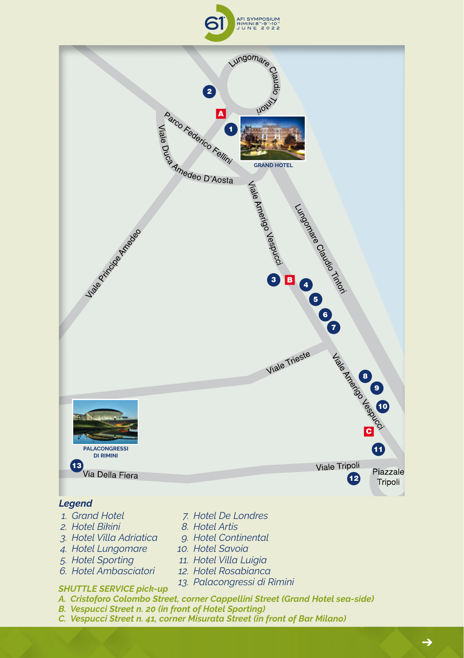



# *Legend*

- *1. Grand Hotel*
- *2. Hotel Bikini*
- *3. Hotel Villa Adriatica*
- *4. Hotel Lungomare*
- *5. Hotel Sporting*
- *6. Hotel Ambasciatori*
- *12. Hotel Rosabianca 13. Palacongressi di Rimini*

*7. Hotel De Londres 8. Hotel Artis 9. Hotel Continental 10. Hotel Savoia 11. Hotel Villa Luigia*

- *SHUTTLE SERVICE pick-up*
- *A. Cristoforo Colombo Street, corner Cappellini Street (Grand Hotel sea-side)*
- *B. Vespucci Street n. 20 (in front of Hotel Sporting)*
- *C. Vespucci Street n. 41, corner Misurata Street (in front of Bar Milano)*